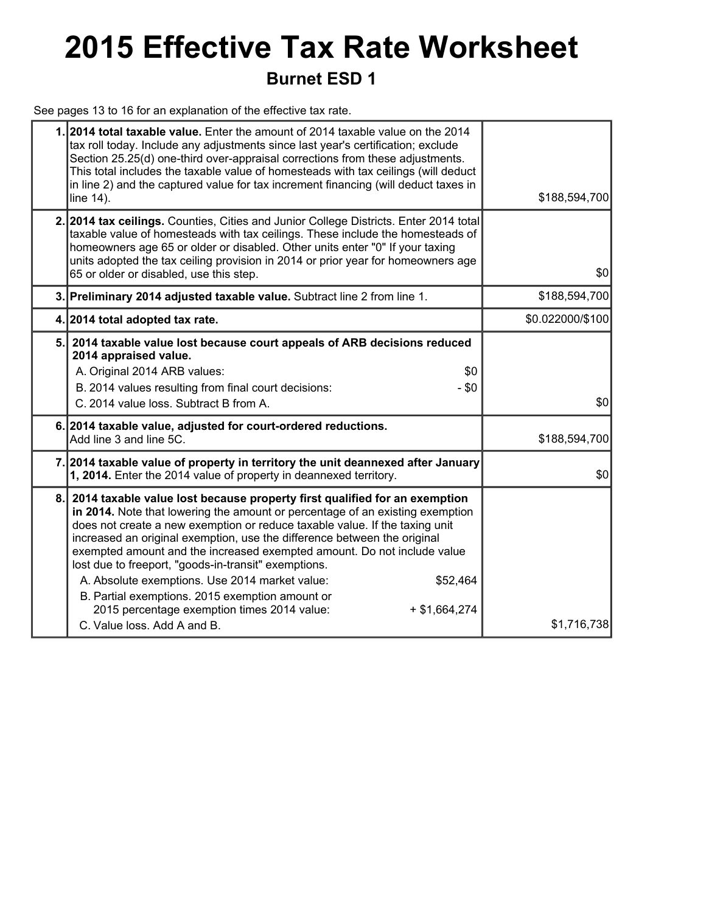## **2015 Effective Tax Rate Worksheet Burnet ESD 1**

See pages 13 to 16 for an explanation of the effective tax rate.

|     | 1.2014 total taxable value. Enter the amount of 2014 taxable value on the 2014<br>tax roll today. Include any adjustments since last year's certification; exclude<br>Section 25.25(d) one-third over-appraisal corrections from these adjustments.<br>This total includes the taxable value of homesteads with tax ceilings (will deduct<br>in line 2) and the captured value for tax increment financing (will deduct taxes in<br>line 14).                                                                                                                                                                                                                              | \$188,594,700    |
|-----|----------------------------------------------------------------------------------------------------------------------------------------------------------------------------------------------------------------------------------------------------------------------------------------------------------------------------------------------------------------------------------------------------------------------------------------------------------------------------------------------------------------------------------------------------------------------------------------------------------------------------------------------------------------------------|------------------|
|     | 2. 2014 tax ceilings. Counties, Cities and Junior College Districts. Enter 2014 total<br>taxable value of homesteads with tax ceilings. These include the homesteads of<br>homeowners age 65 or older or disabled. Other units enter "0" If your taxing<br>units adopted the tax ceiling provision in 2014 or prior year for homeowners age<br>65 or older or disabled, use this step.                                                                                                                                                                                                                                                                                     | \$0              |
|     | 3. Preliminary 2014 adjusted taxable value. Subtract line 2 from line 1.                                                                                                                                                                                                                                                                                                                                                                                                                                                                                                                                                                                                   | \$188,594,700    |
|     | 4. 2014 total adopted tax rate.                                                                                                                                                                                                                                                                                                                                                                                                                                                                                                                                                                                                                                            | \$0.022000/\$100 |
|     | 5. 2014 taxable value lost because court appeals of ARB decisions reduced<br>2014 appraised value.<br>A. Original 2014 ARB values:<br>\$0<br>B. 2014 values resulting from final court decisions:<br>$- $0$<br>C. 2014 value loss. Subtract B from A.                                                                                                                                                                                                                                                                                                                                                                                                                      | \$0              |
|     | 6. 2014 taxable value, adjusted for court-ordered reductions.<br>Add line 3 and line 5C.                                                                                                                                                                                                                                                                                                                                                                                                                                                                                                                                                                                   | \$188,594,700    |
|     | 7. 2014 taxable value of property in territory the unit deannexed after January<br>1, 2014. Enter the 2014 value of property in deannexed territory.                                                                                                                                                                                                                                                                                                                                                                                                                                                                                                                       | \$0              |
| 8.1 | 2014 taxable value lost because property first qualified for an exemption<br>in 2014. Note that lowering the amount or percentage of an existing exemption<br>does not create a new exemption or reduce taxable value. If the taxing unit<br>increased an original exemption, use the difference between the original<br>exempted amount and the increased exempted amount. Do not include value<br>lost due to freeport, "goods-in-transit" exemptions.<br>A. Absolute exemptions. Use 2014 market value:<br>\$52,464<br>B. Partial exemptions. 2015 exemption amount or<br>2015 percentage exemption times 2014 value:<br>$+$ \$1,664,274<br>C. Value loss, Add A and B. | \$1,716,738      |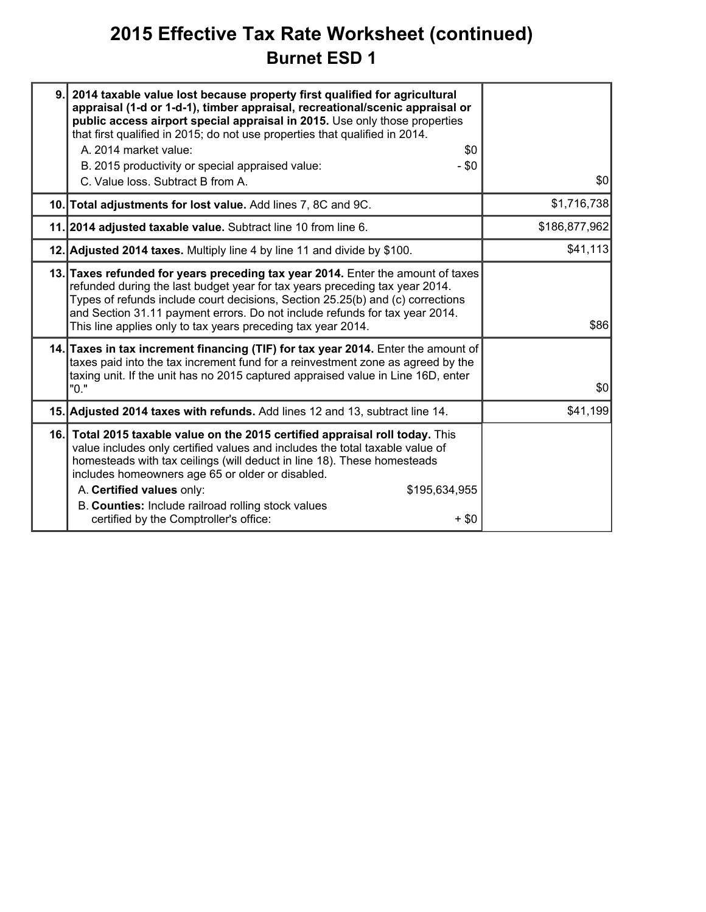### **2015 Effective Tax Rate Worksheet (continued) Burnet ESD 1**

| 9. | 2014 taxable value lost because property first qualified for agricultural<br>appraisal (1-d or 1-d-1), timber appraisal, recreational/scenic appraisal or<br>public access airport special appraisal in 2015. Use only those properties<br>that first qualified in 2015; do not use properties that qualified in 2014.<br>A. 2014 market value:<br>\$0<br>B. 2015 productivity or special appraised value:<br>- \$0<br>C. Value loss. Subtract B from A. | \$0           |
|----|----------------------------------------------------------------------------------------------------------------------------------------------------------------------------------------------------------------------------------------------------------------------------------------------------------------------------------------------------------------------------------------------------------------------------------------------------------|---------------|
|    | 10. Total adjustments for lost value. Add lines 7, 8C and 9C.                                                                                                                                                                                                                                                                                                                                                                                            | \$1,716,738   |
|    | 11. 2014 adjusted taxable value. Subtract line 10 from line 6.                                                                                                                                                                                                                                                                                                                                                                                           | \$186,877,962 |
|    | 12. Adjusted 2014 taxes. Multiply line 4 by line 11 and divide by \$100.                                                                                                                                                                                                                                                                                                                                                                                 | \$41,113      |
|    | 13. Taxes refunded for years preceding tax year 2014. Enter the amount of taxes<br>refunded during the last budget year for tax years preceding tax year 2014.<br>Types of refunds include court decisions, Section 25.25(b) and (c) corrections<br>and Section 31.11 payment errors. Do not include refunds for tax year 2014.<br>This line applies only to tax years preceding tax year 2014.                                                          | \$86          |
|    | 14. Taxes in tax increment financing (TIF) for tax year 2014. Enter the amount of<br>taxes paid into the tax increment fund for a reinvestment zone as agreed by the<br>taxing unit. If the unit has no 2015 captured appraised value in Line 16D, enter<br>"0."                                                                                                                                                                                         | \$0           |
|    | 15. Adjusted 2014 taxes with refunds. Add lines 12 and 13, subtract line 14.                                                                                                                                                                                                                                                                                                                                                                             | \$41,199      |
|    | 16. Total 2015 taxable value on the 2015 certified appraisal roll today. This<br>value includes only certified values and includes the total taxable value of<br>homesteads with tax ceilings (will deduct in line 18). These homesteads<br>includes homeowners age 65 or older or disabled.<br>A. Certified values only:<br>\$195,634,955<br>B. Counties: Include railroad rolling stock values<br>certified by the Comptroller's office:<br>$+$ \$0    |               |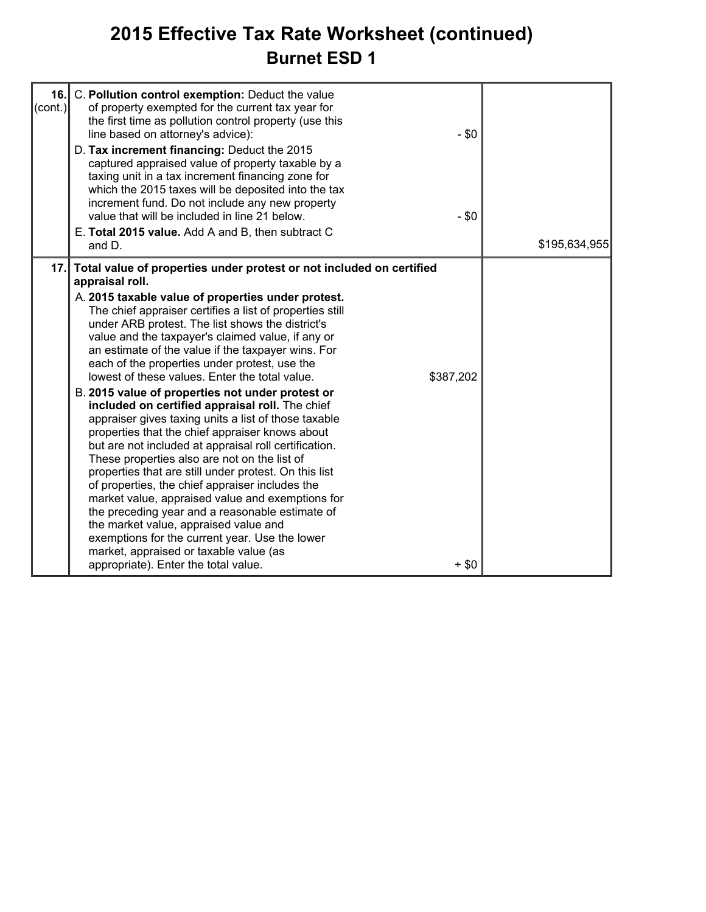### **2015 Effective Tax Rate Worksheet (continued) Burnet ESD 1**

| 16.1<br>$\text{(cont.)}$ | C. Pollution control exemption: Deduct the value<br>of property exempted for the current tax year for<br>the first time as pollution control property (use this<br>line based on attorney's advice):<br>D. Tax increment financing: Deduct the 2015<br>captured appraised value of property taxable by a<br>taxing unit in a tax increment financing zone for<br>which the 2015 taxes will be deposited into the tax<br>increment fund. Do not include any new property<br>value that will be included in line 21 below.<br>E. Total 2015 value. Add A and B, then subtract C                                                                                                                                                                                                                                                                                                                                                                                                                                                                                                                                                                                                                          | $- $0$<br>$- $0$     |               |
|--------------------------|--------------------------------------------------------------------------------------------------------------------------------------------------------------------------------------------------------------------------------------------------------------------------------------------------------------------------------------------------------------------------------------------------------------------------------------------------------------------------------------------------------------------------------------------------------------------------------------------------------------------------------------------------------------------------------------------------------------------------------------------------------------------------------------------------------------------------------------------------------------------------------------------------------------------------------------------------------------------------------------------------------------------------------------------------------------------------------------------------------------------------------------------------------------------------------------------------------|----------------------|---------------|
|                          | and D.                                                                                                                                                                                                                                                                                                                                                                                                                                                                                                                                                                                                                                                                                                                                                                                                                                                                                                                                                                                                                                                                                                                                                                                                 |                      | \$195,634,955 |
| 17.1                     | Total value of properties under protest or not included on certified<br>appraisal roll.<br>A. 2015 taxable value of properties under protest.<br>The chief appraiser certifies a list of properties still<br>under ARB protest. The list shows the district's<br>value and the taxpayer's claimed value, if any or<br>an estimate of the value if the taxpayer wins. For<br>each of the properties under protest, use the<br>lowest of these values. Enter the total value.<br>B. 2015 value of properties not under protest or<br>included on certified appraisal roll. The chief<br>appraiser gives taxing units a list of those taxable<br>properties that the chief appraiser knows about<br>but are not included at appraisal roll certification.<br>These properties also are not on the list of<br>properties that are still under protest. On this list<br>of properties, the chief appraiser includes the<br>market value, appraised value and exemptions for<br>the preceding year and a reasonable estimate of<br>the market value, appraised value and<br>exemptions for the current year. Use the lower<br>market, appraised or taxable value (as<br>appropriate). Enter the total value. | \$387,202<br>$+$ \$0 |               |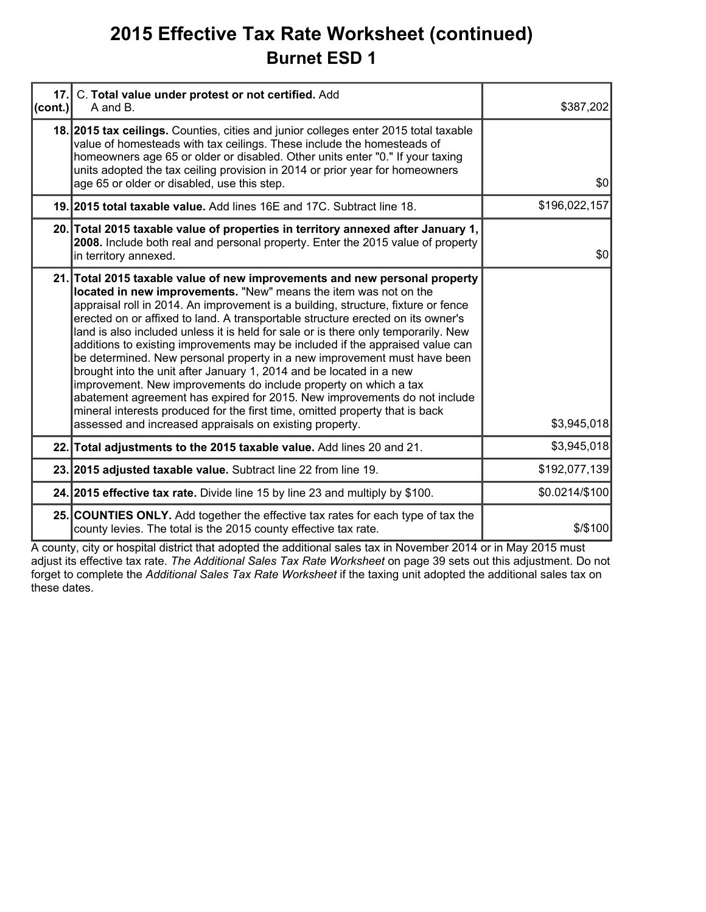### **2015 Effective Tax Rate Worksheet (continued) Burnet ESD 1**

| 17.     | C. Total value under protest or not certified. Add<br>A and B.                                                                                                                                                                                                                                                                                                                                                                                                                                                                                                                                                                                                                                                                                                                                                                                                                                                                               | \$387,202      |
|---------|----------------------------------------------------------------------------------------------------------------------------------------------------------------------------------------------------------------------------------------------------------------------------------------------------------------------------------------------------------------------------------------------------------------------------------------------------------------------------------------------------------------------------------------------------------------------------------------------------------------------------------------------------------------------------------------------------------------------------------------------------------------------------------------------------------------------------------------------------------------------------------------------------------------------------------------------|----------------|
| (cont.) | 18. 2015 tax cellings. Counties, cities and junior colleges enter 2015 total taxable<br>value of homesteads with tax ceilings. These include the homesteads of<br>homeowners age 65 or older or disabled. Other units enter "0." If your taxing<br>units adopted the tax ceiling provision in 2014 or prior year for homeowners<br>age 65 or older or disabled, use this step.                                                                                                                                                                                                                                                                                                                                                                                                                                                                                                                                                               | \$0            |
|         | 19. 2015 total taxable value. Add lines 16E and 17C. Subtract line 18.                                                                                                                                                                                                                                                                                                                                                                                                                                                                                                                                                                                                                                                                                                                                                                                                                                                                       | \$196,022,157  |
|         | 20. Total 2015 taxable value of properties in territory annexed after January 1,<br>2008. Include both real and personal property. Enter the 2015 value of property<br>in territory annexed.                                                                                                                                                                                                                                                                                                                                                                                                                                                                                                                                                                                                                                                                                                                                                 | \$0            |
|         | 21. Total 2015 taxable value of new improvements and new personal property<br>located in new improvements. "New" means the item was not on the<br>appraisal roll in 2014. An improvement is a building, structure, fixture or fence<br>erected on or affixed to land. A transportable structure erected on its owner's<br>land is also included unless it is held for sale or is there only temporarily. New<br>additions to existing improvements may be included if the appraised value can<br>be determined. New personal property in a new improvement must have been<br>brought into the unit after January 1, 2014 and be located in a new<br>improvement. New improvements do include property on which a tax<br>abatement agreement has expired for 2015. New improvements do not include<br>mineral interests produced for the first time, omitted property that is back<br>assessed and increased appraisals on existing property. | \$3,945,018    |
|         | 22. Total adjustments to the 2015 taxable value. Add lines 20 and 21.                                                                                                                                                                                                                                                                                                                                                                                                                                                                                                                                                                                                                                                                                                                                                                                                                                                                        | \$3,945,018    |
|         | 23. 2015 adjusted taxable value. Subtract line 22 from line 19.                                                                                                                                                                                                                                                                                                                                                                                                                                                                                                                                                                                                                                                                                                                                                                                                                                                                              | \$192,077,139  |
|         | 24. 2015 effective tax rate. Divide line 15 by line 23 and multiply by \$100.                                                                                                                                                                                                                                                                                                                                                                                                                                                                                                                                                                                                                                                                                                                                                                                                                                                                | \$0.0214/\$100 |
|         | 25. COUNTIES ONLY. Add together the effective tax rates for each type of tax the<br>county levies. The total is the 2015 county effective tax rate.                                                                                                                                                                                                                                                                                                                                                                                                                                                                                                                                                                                                                                                                                                                                                                                          | \$/\$100       |

A county, city or hospital district that adopted the additional sales tax in November 2014 or in May 2015 must adjust its effective tax rate. *The Additional Sales Tax Rate Worksheet* on page 39 sets out this adjustment. Do not forget to complete the *Additional Sales Tax Rate Worksheet* if the taxing unit adopted the additional sales tax on these dates.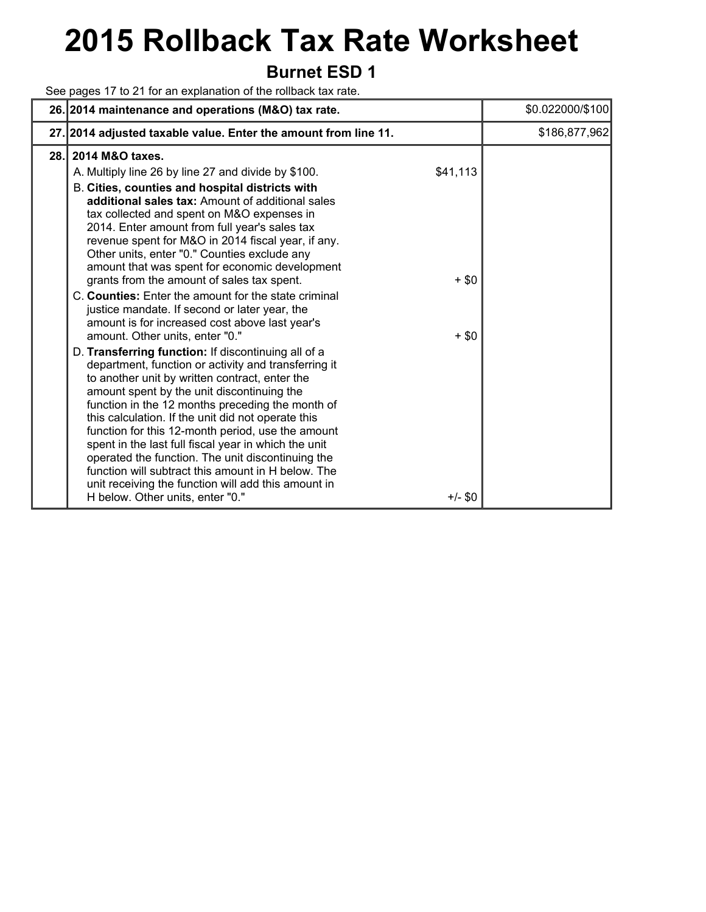# **2015 Rollback Tax Rate Worksheet**

### **Burnet ESD 1**

See pages 17 to 21 for an explanation of the rollback tax rate.

|      | 26. 2014 maintenance and operations (M&O) tax rate.                                                                                                                                                                                                                                                                                                                                                                                                                                                                                                                                                                                                                                                                                                                                                                                                                                                                                                                                                                                                                                                                                                                                                                                                                                                                          |                                             | \$0.022000/\$100 |
|------|------------------------------------------------------------------------------------------------------------------------------------------------------------------------------------------------------------------------------------------------------------------------------------------------------------------------------------------------------------------------------------------------------------------------------------------------------------------------------------------------------------------------------------------------------------------------------------------------------------------------------------------------------------------------------------------------------------------------------------------------------------------------------------------------------------------------------------------------------------------------------------------------------------------------------------------------------------------------------------------------------------------------------------------------------------------------------------------------------------------------------------------------------------------------------------------------------------------------------------------------------------------------------------------------------------------------------|---------------------------------------------|------------------|
|      | 27. 2014 adjusted taxable value. Enter the amount from line 11.                                                                                                                                                                                                                                                                                                                                                                                                                                                                                                                                                                                                                                                                                                                                                                                                                                                                                                                                                                                                                                                                                                                                                                                                                                                              |                                             | \$186,877,962    |
| 28.1 | 2014 M&O taxes.<br>A. Multiply line 26 by line 27 and divide by \$100.<br>B. Cities, counties and hospital districts with<br>additional sales tax: Amount of additional sales<br>tax collected and spent on M&O expenses in<br>2014. Enter amount from full year's sales tax<br>revenue spent for M&O in 2014 fiscal year, if any.<br>Other units, enter "0." Counties exclude any<br>amount that was spent for economic development<br>grants from the amount of sales tax spent.<br>C. Counties: Enter the amount for the state criminal<br>justice mandate. If second or later year, the<br>amount is for increased cost above last year's<br>amount. Other units, enter "0."<br>D. Transferring function: If discontinuing all of a<br>department, function or activity and transferring it<br>to another unit by written contract, enter the<br>amount spent by the unit discontinuing the<br>function in the 12 months preceding the month of<br>this calculation. If the unit did not operate this<br>function for this 12-month period, use the amount<br>spent in the last full fiscal year in which the unit<br>operated the function. The unit discontinuing the<br>function will subtract this amount in H below. The<br>unit receiving the function will add this amount in<br>H below. Other units, enter "0." | \$41,113<br>$+$ \$0<br>$+$ \$0<br>$+/-$ \$0 |                  |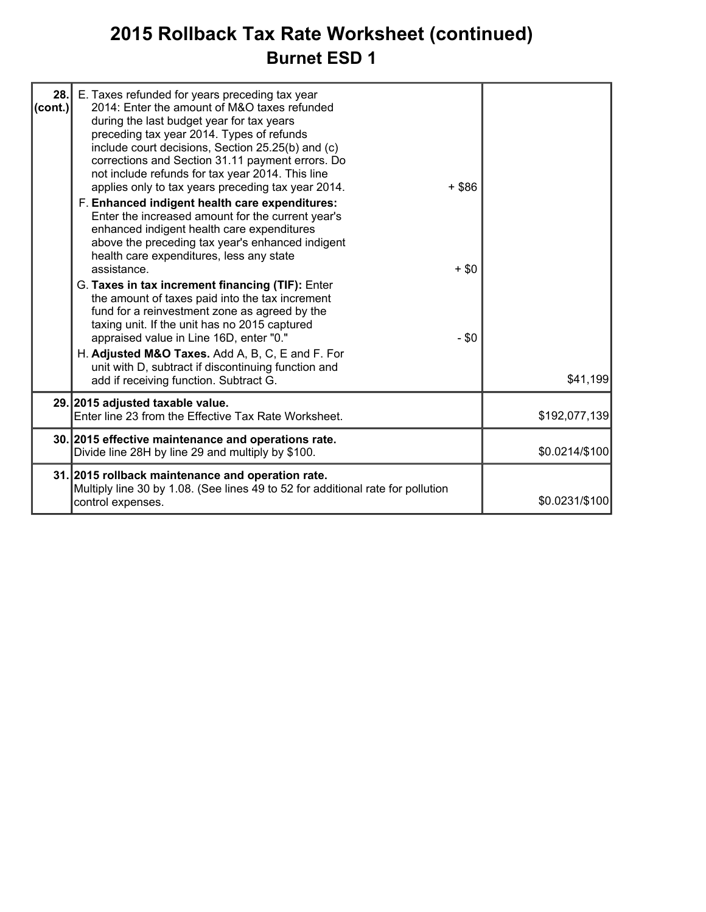### **2015 Rollback Tax Rate Worksheet (continued) Burnet ESD 1**

| 28.1<br> cont. | E. Taxes refunded for years preceding tax year<br>2014: Enter the amount of M&O taxes refunded<br>during the last budget year for tax years<br>preceding tax year 2014. Types of refunds<br>include court decisions, Section 25.25(b) and (c)<br>corrections and Section 31.11 payment errors. Do<br>not include refunds for tax year 2014. This line<br>applies only to tax years preceding tax year 2014.<br>F. Enhanced indigent health care expenditures:<br>Enter the increased amount for the current year's<br>enhanced indigent health care expenditures<br>above the preceding tax year's enhanced indigent<br>health care expenditures, less any state<br>assistance.<br>G. Taxes in tax increment financing (TIF): Enter<br>the amount of taxes paid into the tax increment<br>fund for a reinvestment zone as agreed by the<br>taxing unit. If the unit has no 2015 captured<br>appraised value in Line 16D, enter "0." | $+$ \$86<br>$+$ \$0<br>$- $0$ |                |
|----------------|-------------------------------------------------------------------------------------------------------------------------------------------------------------------------------------------------------------------------------------------------------------------------------------------------------------------------------------------------------------------------------------------------------------------------------------------------------------------------------------------------------------------------------------------------------------------------------------------------------------------------------------------------------------------------------------------------------------------------------------------------------------------------------------------------------------------------------------------------------------------------------------------------------------------------------------|-------------------------------|----------------|
|                | H. Adjusted M&O Taxes. Add A, B, C, E and F. For<br>unit with D, subtract if discontinuing function and<br>add if receiving function. Subtract G.                                                                                                                                                                                                                                                                                                                                                                                                                                                                                                                                                                                                                                                                                                                                                                                   |                               | \$41,199       |
|                | 29. 2015 adjusted taxable value.<br>Enter line 23 from the Effective Tax Rate Worksheet.                                                                                                                                                                                                                                                                                                                                                                                                                                                                                                                                                                                                                                                                                                                                                                                                                                            |                               | \$192,077,139  |
|                | 30. 2015 effective maintenance and operations rate.<br>Divide line 28H by line 29 and multiply by \$100.                                                                                                                                                                                                                                                                                                                                                                                                                                                                                                                                                                                                                                                                                                                                                                                                                            |                               | \$0.0214/\$100 |
|                | 31. 2015 rollback maintenance and operation rate.<br>Multiply line 30 by 1.08. (See lines 49 to 52 for additional rate for pollution<br>control expenses.                                                                                                                                                                                                                                                                                                                                                                                                                                                                                                                                                                                                                                                                                                                                                                           |                               | \$0.0231/\$100 |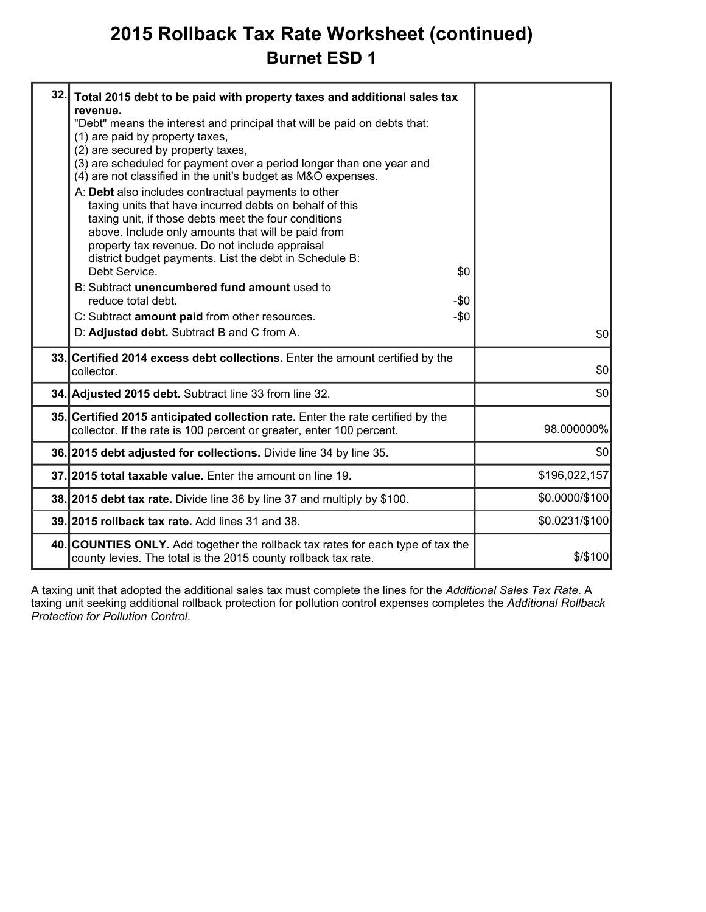### **2015 Rollback Tax Rate Worksheet (continued) Burnet ESD 1**

| 32. | Total 2015 debt to be paid with property taxes and additional sales tax<br>revenue.<br>"Debt" means the interest and principal that will be paid on debts that:<br>(1) are paid by property taxes,<br>(2) are secured by property taxes,<br>(3) are scheduled for payment over a period longer than one year and<br>(4) are not classified in the unit's budget as M&O expenses.<br>A: Debt also includes contractual payments to other<br>taxing units that have incurred debts on behalf of this<br>taxing unit, if those debts meet the four conditions<br>above. Include only amounts that will be paid from<br>property tax revenue. Do not include appraisal<br>district budget payments. List the debt in Schedule B:<br>Debt Service.<br>\$0<br>B: Subtract unencumbered fund amount used to<br>reduce total debt.<br>$-\$0$<br>C: Subtract amount paid from other resources.<br>$-\$0$<br>D: Adjusted debt. Subtract B and C from A. | \$0            |
|-----|-----------------------------------------------------------------------------------------------------------------------------------------------------------------------------------------------------------------------------------------------------------------------------------------------------------------------------------------------------------------------------------------------------------------------------------------------------------------------------------------------------------------------------------------------------------------------------------------------------------------------------------------------------------------------------------------------------------------------------------------------------------------------------------------------------------------------------------------------------------------------------------------------------------------------------------------------|----------------|
|     | 33. Certified 2014 excess debt collections. Enter the amount certified by the<br>collector.                                                                                                                                                                                                                                                                                                                                                                                                                                                                                                                                                                                                                                                                                                                                                                                                                                                   | \$0            |
|     | 34. Adjusted 2015 debt. Subtract line 33 from line 32.                                                                                                                                                                                                                                                                                                                                                                                                                                                                                                                                                                                                                                                                                                                                                                                                                                                                                        | \$0            |
|     | 35. Certified 2015 anticipated collection rate. Enter the rate certified by the<br>collector. If the rate is 100 percent or greater, enter 100 percent.                                                                                                                                                                                                                                                                                                                                                                                                                                                                                                                                                                                                                                                                                                                                                                                       | 98.000000%     |
|     | 36. 2015 debt adjusted for collections. Divide line 34 by line 35.                                                                                                                                                                                                                                                                                                                                                                                                                                                                                                                                                                                                                                                                                                                                                                                                                                                                            | \$0            |
|     | 37. 2015 total taxable value. Enter the amount on line 19.                                                                                                                                                                                                                                                                                                                                                                                                                                                                                                                                                                                                                                                                                                                                                                                                                                                                                    | \$196,022,157  |
|     | 38. 2015 debt tax rate. Divide line 36 by line 37 and multiply by \$100.                                                                                                                                                                                                                                                                                                                                                                                                                                                                                                                                                                                                                                                                                                                                                                                                                                                                      | \$0.0000/\$100 |
|     | 39. 2015 rollback tax rate. Add lines 31 and 38.                                                                                                                                                                                                                                                                                                                                                                                                                                                                                                                                                                                                                                                                                                                                                                                                                                                                                              | \$0.0231/\$100 |
|     | 40. COUNTIES ONLY. Add together the rollback tax rates for each type of tax the<br>county levies. The total is the 2015 county rollback tax rate.                                                                                                                                                                                                                                                                                                                                                                                                                                                                                                                                                                                                                                                                                                                                                                                             | \$/\$100       |
|     |                                                                                                                                                                                                                                                                                                                                                                                                                                                                                                                                                                                                                                                                                                                                                                                                                                                                                                                                               |                |

A taxing unit that adopted the additional sales tax must complete the lines for the *Additional Sales Tax Rate*. A taxing unit seeking additional rollback protection for pollution control expenses completes the *Additional Rollback Protection for Pollution Control*.